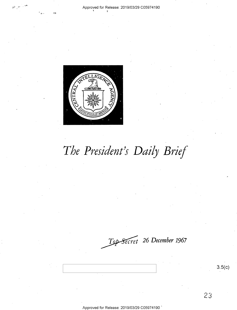#### Approved for Release: 2019/03/29 C05974190



# The President's Daily Brief

Top-Secret 26 December 1967

 $3.5(c)$ 

23

Approved for Release: 2019/03/29 C05974190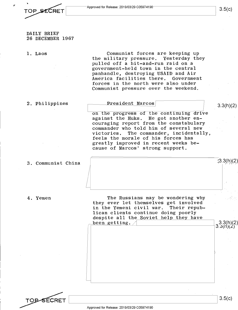~<br>TOP\_SECRET <u>Approved for Release: 2019/03/29</u> C05974190 **\_\_\_\_\_\_\_\_\_\_\_\_\_\_\_\_\_\_\_\_\_\_\_** 

 $3.5(c)$ 

3.3(h)(2)

 $(3.3(h)(2)$ 

3.3(h)(2) 3.3(n)(2*)* 

DAILY BRIEF 26 DECEMBER 1967

1. Laos

Communist forces are keeping up the military pressure. Yesterday they pulled off a hit-and-run raid on a government-held town in the central panhandle, destroying USAID and Air America facilities there. Government forces in the north were also under Communist pressure over the weekend.

## 2. Philippines

 **Marcos** 

on the progress of the continuing drive against the Huks. He got another encouraging report from the constabulary commander who told him of several new<br>victories. The commander, incidental The commander, incidentally, feels the morale of his forces has greatly improved in recent weeks because of Marcos' strong support.

# 3. Communist China

4. Yemen

The Russians may be wondering why they ever let themselves get involved in the Yemeni civil war. Their republican clients continue doing poorly despite all the Soviet help they have been getting.



3.5(c)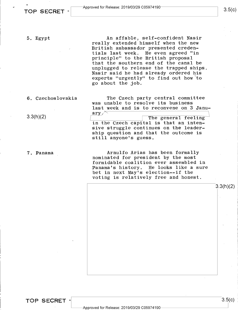5. Egypt

An affable? self-confident Nasir really extended himself when the new British ambassador presented credentials last week. He even agreed "in principle" to the British proposal that the southern end of the canal be unplugged to release the trapped ships. Nasir said he had already ordered his experts "urgently" to find out how'to go about the job,

6. Czechoslovakia

3.3(h)(2)

7. Panama

The Czech party central committee was unable to resolve its business last week and is to reconvene on 3 Janu-<br>ary  $\sim$ The general feeling

in the Czech capital is that an intensive struggle continues on the leadership question and that the outcome is still anyone's guess.

Arnulfo Arias has been formally nominated for president by the most formidable coalition ever assembled in Panama's history. He looks like a sure bet in next May's election--if the voting is relatively free and honest.

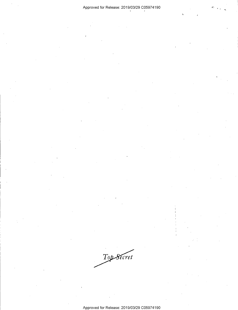# Approved for Release: 2019/03/29 C05974190

 $\overline{1}$ 

Top Secret

l,

Approved for Release: 2019/03/29 C05974190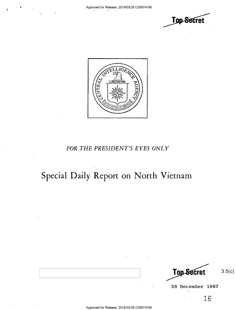



# *FOR THE PRESIDENT'S EYES ONLY*

# Special Daily Report on North Vietnam

**Top Secret** 

26 December 1967

3.5(c)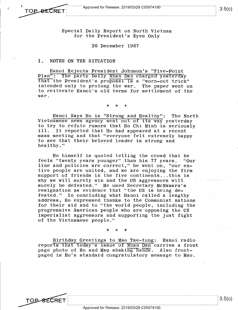**TOP SECRET** 

TOP-SECRET

Special Daily Report on North Vietnam for the President's Eyes Only

## 26 December 1967

# I. NOTES ON THE SITUATION

Hanoi Rejects President Johnson's "Five-Point Plan": The party Daily Nhan Dan charged yesterday that the President's proposal is a "worn-out trick" intended only to prolong the war. The paper went on to reiterate Hanoi's old terms for settlement of the war.

\* \* \*'

Hanoi Says Ho is "Strong and Healthy": The North Vietnamese news agency went out of its way yesterday to try to refute rumors that Ho Chi Minh is seriously ill. It reported that Ho had appeared at a recent mass meeting and that "everyone felt extremely happy to see that their beloved leader is strong and healthy."

Ho himself is quoted telling the crowd that he feels "twenty years younger" than his 77 years. "Our line and policies are correct," he went on, "our entire people are united, and we are enjoying the firm support of friends in the five continents...this is why we will surely win and the US aggressors will surely be defeated." He used Secretary McNamara's resignation as evidence that "the US is being defeated." In concluding what Hanoi called a lengthy address, Ho expressed thanks to the Communist nations for their aid and to "the world people, including the progressive American people who are opposing the US imperialist aggressors and supporting the just fight of the Vietnamese people."

Birthday Greetings to Mao Tse-tung: Hanoi radio reports that today's issue of Nhan Dan carries a front page photo of Ho and Mao shaking hands. Also frontpaged is Ho's standard congratulatory message to Mao.

\* \* \*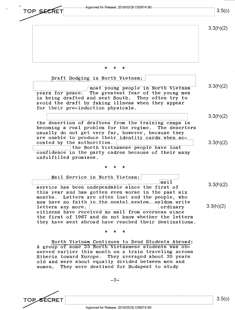Approved for Release: 2019/03/29 C05974190  $3.5(c)$ TOP SECRET  $3.3(h)(2)$ \* \* \*

Draft Dodging in North Vietnam: most young people in North Vietnam yearn for peace. The greatest fear of the young men is being drafted and sent South. They often try to avoid the draft by faking illness when they appear for their pre-induction physicals. the desertion of draftees from the training camps is becoming a real problem for the regime. The deserters usually do not get very far, however, because they are unable to produce their identity cards when accosted by the authorities. [<br>the North Vietna<br>confidence in the party cade ~----~-~--~~-~ the North Vietnamese people have lost confidence in the party cadres because of their many unfulfilled promises. \* \* \* Mail Service in North Vietnam: 3.3(h)(2) 3.3(h)(2) 3.3(h)(2)

**L\_ \_\_\_\_\_ ------------~----~** I mail service has been undependable since the first of this year and has gotten even worse in the past six months. Letters are often lost and the people, who now have no faith in the nostal system. seldom write<br>letters any more. letters any more. citizens have received no mail from overseas since the first of 1967 and do not know whether the letters they have sent abroad have reached their destinations.

\* \* \*

. North Vietnam Continues to Send Students Abroad: A group of some 35 North Vietnamese students was observed earlier this month on a train traveling across Siberia toward Europe. They averaged about 20 years old and were about equally divided between men and women. They were destined for Budapest to study



3.3(h)(2)

3.3(h)(2)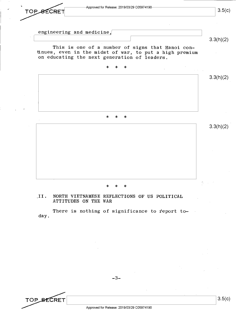

# ,II. NORTH VIETNAMESE REFLECTIONS OF US POLITICAL ATTITUDES ON THE WAR

There is nothing of significance to report today.

-3-